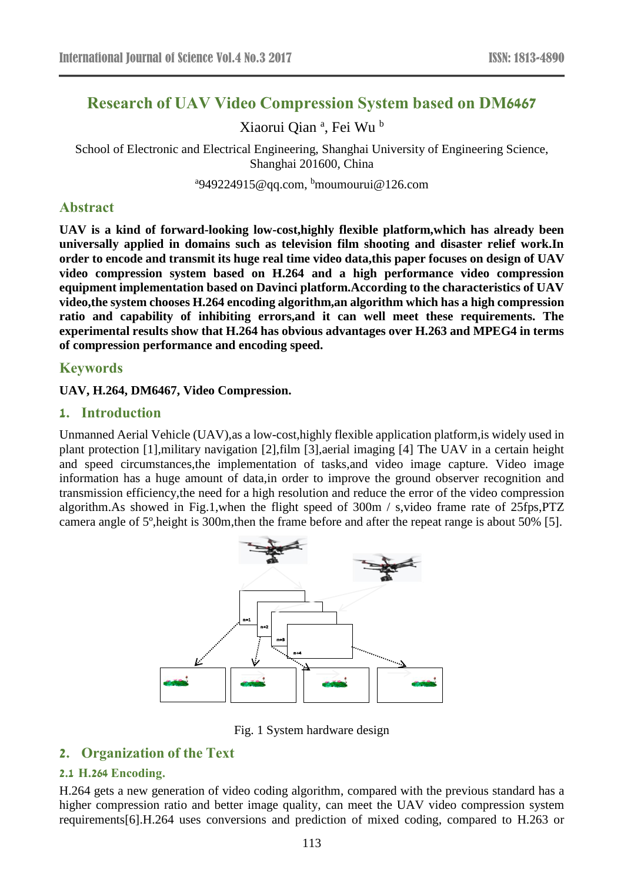# **Research of UAV Video Compression System based on DM6467**

Xiaorui Qian<sup>a</sup>, Fei Wu<sup>b</sup>

School of Electronic and Electrical Engineering, Shanghai University of Engineering Science, Shanghai 201600, China

<sup>a</sup>949224915@qq.com, <sup>b</sup>moumourui@126.com

## **Abstract**

**UAV is a kind of forward-looking low-cost,highly flexible platform,which has already been universally applied in domains such as television film shooting and disaster relief work.In order to encode and transmit its huge real time video data,this paper focuses on design of UAV video compression system based on H.264 and a high performance video compression equipment implementation based on Davinci platform.According to the characteristics of UAV video,the system chooses H.264 encoding algorithm,an algorithm which has a high compression ratio and capability of inhibiting errors,and it can well meet these requirements. The experimental results show that H.264 has obvious advantages over H.263 and MPEG4 in terms of compression performance and encoding speed.**

#### **Keywords**

**UAV, H.264, DM6467, Video Compression.**

#### **1. Introduction**

Unmanned Aerial Vehicle (UAV),as a low-cost,highly flexible application platform,is widely used in plant protection [1],military navigation [2],film [3],aerial imaging [4] The UAV in a certain height and speed circumstances,the implementation of tasks,and video image capture. Video image information has a huge amount of data,in order to improve the ground observer recognition and transmission efficiency,the need for a high resolution and reduce the error of the video compression algorithm.As showed in Fig.1,when the flight speed of 300m / s,video frame rate of 25fps,PTZ camera angle of 5º,height is 300m,then the frame before and after the repeat range is about 50% [5].



Fig. 1 System hardware design

## **2. Organization of the Text**

#### **2.1 H.264 Encoding.**

H.264 gets a new generation of video coding algorithm, compared with the previous standard has a higher compression ratio and better image quality, can meet the UAV video compression system requirements[6].H.264 uses conversions and prediction of mixed coding, compared to H.263 or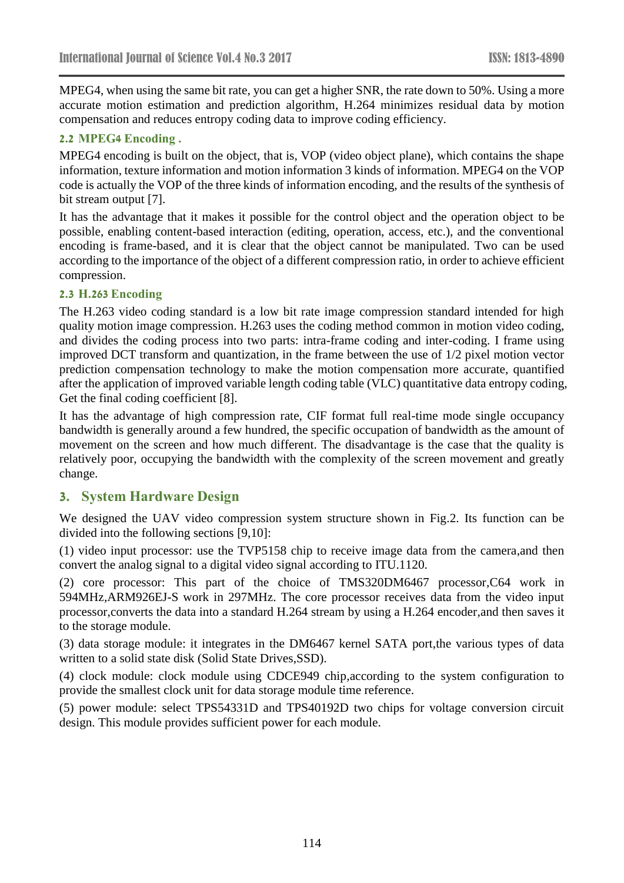MPEG4, when using the same bit rate, you can get a higher SNR, the rate down to 50%. Using a more accurate motion estimation and prediction algorithm, H.264 minimizes residual data by motion compensation and reduces entropy coding data to improve coding efficiency.

#### **2.2 MPEG4 Encoding .**

MPEG4 encoding is built on the object, that is, VOP (video object plane), which contains the shape information, texture information and motion information 3 kinds of information. MPEG4 on the VOP code is actually the VOP of the three kinds of information encoding, and the results of the synthesis of bit stream output [7].

It has the advantage that it makes it possible for the control object and the operation object to be possible, enabling content-based interaction (editing, operation, access, etc.), and the conventional encoding is frame-based, and it is clear that the object cannot be manipulated. Two can be used according to the importance of the object of a different compression ratio, in order to achieve efficient compression.

#### **2.3 H.263 Encoding**

The H.263 video coding standard is a low bit rate image compression standard intended for high quality motion image compression. H.263 uses the coding method common in motion video coding, and divides the coding process into two parts: intra-frame coding and inter-coding. I frame using improved DCT transform and quantization, in the frame between the use of 1/2 pixel motion vector prediction compensation technology to make the motion compensation more accurate, quantified after the application of improved variable length coding table (VLC) quantitative data entropy coding, Get the final coding coefficient [8].

It has the advantage of high compression rate, CIF format full real-time mode single occupancy bandwidth is generally around a few hundred, the specific occupation of bandwidth as the amount of movement on the screen and how much different. The disadvantage is the case that the quality is relatively poor, occupying the bandwidth with the complexity of the screen movement and greatly change.

## **3. System Hardware Design**

We designed the UAV video compression system structure shown in Fig.2. Its function can be divided into the following sections [9,10]:

(1) video input processor: use the TVP5158 chip to receive image data from the camera,and then convert the analog signal to a digital video signal according to ITU.1120.

(2) core processor: This part of the choice of TMS320DM6467 processor,C64 work in 594MHz,ARM926EJ-S work in 297MHz. The core processor receives data from the video input processor,converts the data into a standard H.264 stream by using a H.264 encoder,and then saves it to the storage module.

(3) data storage module: it integrates in the DM6467 kernel SATA port,the various types of data written to a solid state disk (Solid State Drives,SSD).

(4) clock module: clock module using CDCE949 chip,according to the system configuration to provide the smallest clock unit for data storage module time reference.

(5) power module: select TPS54331D and TPS40192D two chips for voltage conversion circuit design. This module provides sufficient power for each module.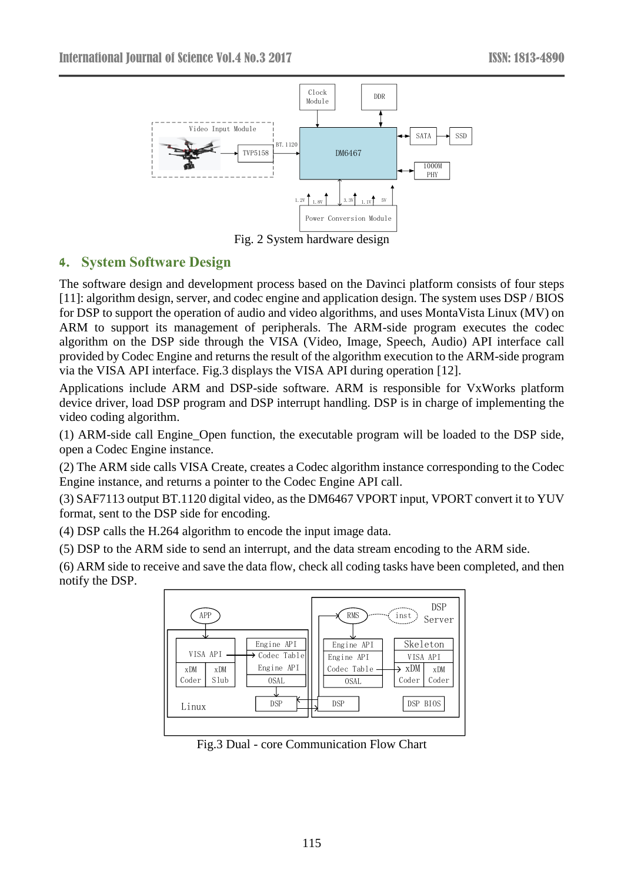

Fig. 2 System hardware design

## **4. System Software Design**

The software design and development process based on the Davinci platform consists of four steps [11]: algorithm design, server, and codec engine and application design. The system uses DSP / BIOS for DSP to support the operation of audio and video algorithms, and uses MontaVista Linux (MV) on ARM to support its management of peripherals. The ARM-side program executes the codec algorithm on the DSP side through the VISA (Video, Image, Speech, Audio) API interface call provided by Codec Engine and returns the result of the algorithm execution to the ARM-side program via the VISA API interface. Fig.3 displays the VISA API during operation [12].

Applications include ARM and DSP-side software. ARM is responsible for VxWorks platform device driver, load DSP program and DSP interrupt handling. DSP is in charge of implementing the video coding algorithm.

(1) ARM-side call Engine\_Open function, the executable program will be loaded to the DSP side, open a Codec Engine instance.

(2) The ARM side calls VISA Create, creates a Codec algorithm instance corresponding to the Codec Engine instance, and returns a pointer to the Codec Engine API call.

(3) SAF7113 output BT.1120 digital video, as the DM6467 VPORT input, VPORT convert it to YUV format, sent to the DSP side for encoding.

(4) DSP calls the H.264 algorithm to encode the input image data.

(5) DSP to the ARM side to send an interrupt, and the data stream encoding to the ARM side.

(6) ARM side to receive and save the data flow, check all coding tasks have been completed, and then notify the DSP.



Fig.3 Dual - core Communication Flow Chart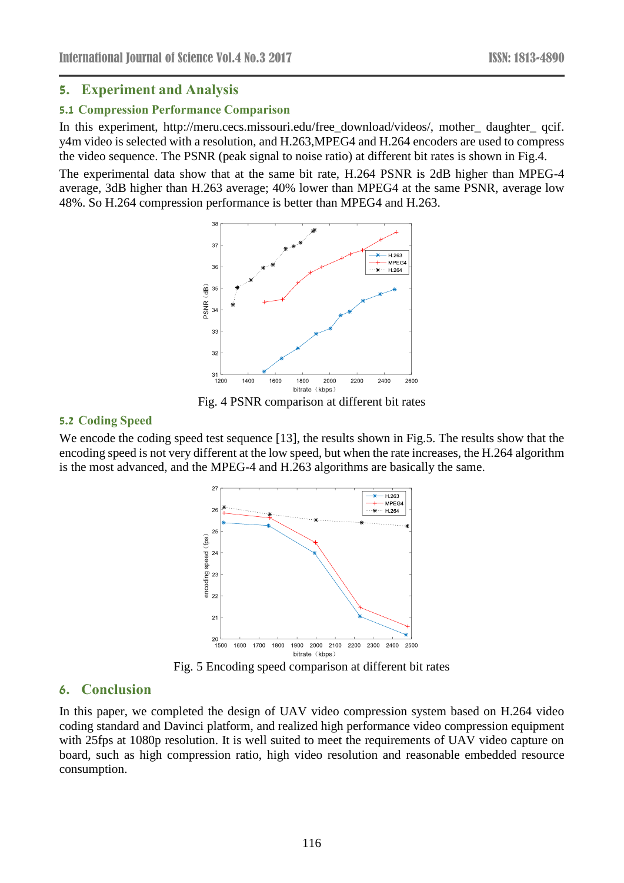## **5. Experiment and Analysis**

#### **5.1 Compression Performance Comparison**

In this experiment, [http://meru.cecs.missouri.edu/free\\_download/videos/,](http://meru.cecs.missouri.edu/free_download/videos/,) mother\_ daughter\_ qcif. y4m video is selected with a resolution, and H.263,MPEG4 and H.264 encoders are used to compress the video sequence. The PSNR (peak signal to noise ratio) at different bit rates is shown in Fig.4.

The experimental data show that at the same bit rate, H.264 PSNR is 2dB higher than MPEG-4 average, 3dB higher than H.263 average; 40% lower than MPEG4 at the same PSNR, average low 48%. So H.264 compression performance is better than MPEG4 and H.263.



Fig. 4 PSNR comparison at different bit rates

#### **5.2 Coding Speed**

We encode the coding speed test sequence [13], the results shown in Fig.5. The results show that the encoding speed is not very different at the low speed, but when the rate increases, the H.264 algorithm is the most advanced, and the MPEG-4 and H.263 algorithms are basically the same.



Fig. 5 Encoding speed comparison at different bit rates

## **6. Conclusion**

In this paper, we completed the design of UAV video compression system based on H.264 video coding standard and Davinci platform, and realized high performance video compression equipment with 25fps at 1080p resolution. It is well suited to meet the requirements of UAV video capture on board, such as high compression ratio, high video resolution and reasonable embedded resource consumption.